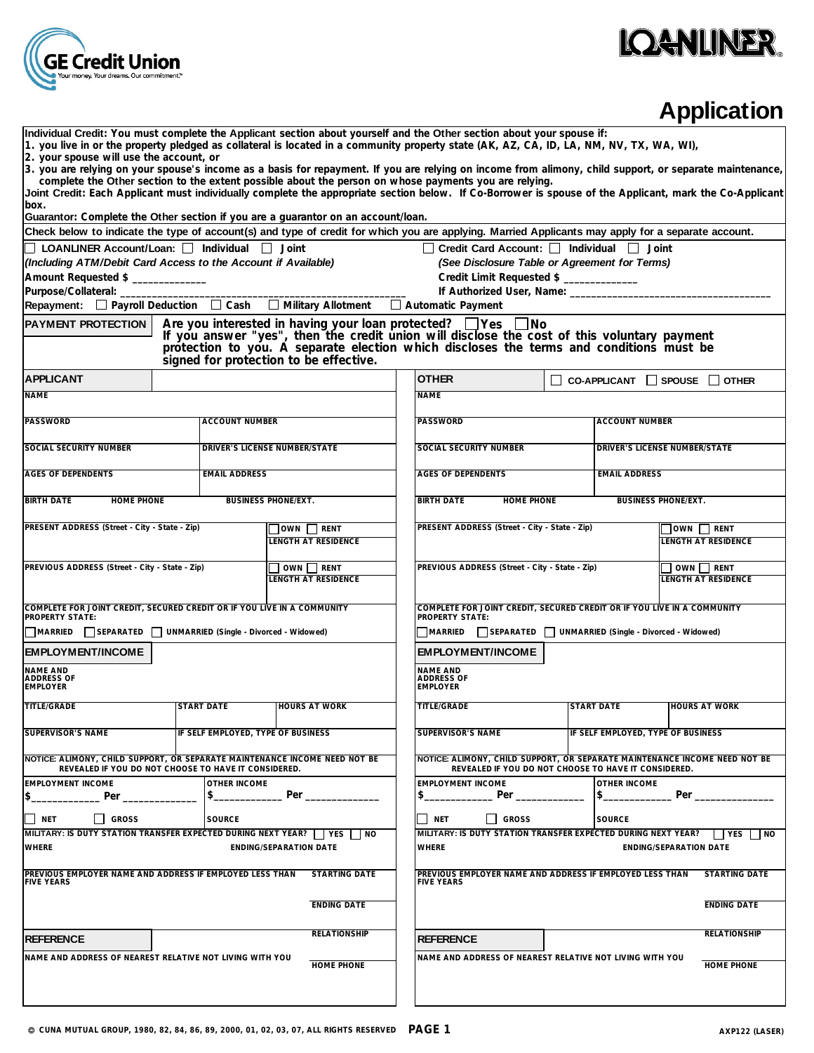

# **IQANLINER.**

## **Application**

| Individual Credit: You must complete the Applicant section about yourself and the Other section about your spouse if:<br>1. you live in or the property pledged as collateral is located in a community property state (AK, AZ, CA, ID, LA, NM, NV, TX, WA, WI),<br>2. your spouse will use the account, or                                                                                                                 |                                                                                                                                                  |                                                                                                                                                                                                                                                                                   |                                                                                                                                                                |  |                                    |                                                |  |  |  |  |
|-----------------------------------------------------------------------------------------------------------------------------------------------------------------------------------------------------------------------------------------------------------------------------------------------------------------------------------------------------------------------------------------------------------------------------|--------------------------------------------------------------------------------------------------------------------------------------------------|-----------------------------------------------------------------------------------------------------------------------------------------------------------------------------------------------------------------------------------------------------------------------------------|----------------------------------------------------------------------------------------------------------------------------------------------------------------|--|------------------------------------|------------------------------------------------|--|--|--|--|
| 3. you are relying on your spouse's income as a basis for repayment. If you are relying on income from alimony, child support, or separate maintenance,<br>complete the Other section to the extent possible about the person on whose payments you are relying.<br>Joint Credit: Each Applicant must individually complete the appropriate section below. If Co-Borrower is spouse of the Applicant, mark the Co-Applicant |                                                                                                                                                  |                                                                                                                                                                                                                                                                                   |                                                                                                                                                                |  |                                    |                                                |  |  |  |  |
| box.                                                                                                                                                                                                                                                                                                                                                                                                                        |                                                                                                                                                  |                                                                                                                                                                                                                                                                                   |                                                                                                                                                                |  |                                    |                                                |  |  |  |  |
| Guarantor: Complete the Other section if you are a guarantor on an account/loan.<br>Check below to indicate the type of account(s) and type of credit for which you are applying. Married Applicants may apply for a separate account.                                                                                                                                                                                      |                                                                                                                                                  |                                                                                                                                                                                                                                                                                   |                                                                                                                                                                |  |                                    |                                                |  |  |  |  |
| $\Box$ LOANLINER Account/Loan: $\Box$ Individual $\Box$ Joint<br>$\Box$ Credit Card Account: $\Box$ Individual $\Box$ Joint                                                                                                                                                                                                                                                                                                 |                                                                                                                                                  |                                                                                                                                                                                                                                                                                   |                                                                                                                                                                |  |                                    |                                                |  |  |  |  |
| (Including ATM/Debit Card Access to the Account if Available)                                                                                                                                                                                                                                                                                                                                                               |                                                                                                                                                  |                                                                                                                                                                                                                                                                                   | (See Disclosure Table or Agreement for Terms)                                                                                                                  |  |                                    |                                                |  |  |  |  |
| Amount Requested \$                                                                                                                                                                                                                                                                                                                                                                                                         |                                                                                                                                                  |                                                                                                                                                                                                                                                                                   | Credit Limit Requested \$ ____________                                                                                                                         |  |                                    |                                                |  |  |  |  |
| Purpose/Collateral: ________                                                                                                                                                                                                                                                                                                                                                                                                |                                                                                                                                                  |                                                                                                                                                                                                                                                                                   | If Authorized User, Name: ___________                                                                                                                          |  |                                    |                                                |  |  |  |  |
| Repayment: $\Box$ Payroll Deduction $\Box$ Cash $\Box$ Military Allotment                                                                                                                                                                                                                                                                                                                                                   |                                                                                                                                                  |                                                                                                                                                                                                                                                                                   | Automatic Payment                                                                                                                                              |  |                                    |                                                |  |  |  |  |
| <b>PAYMENT PROTECTION</b>                                                                                                                                                                                                                                                                                                                                                                                                   |                                                                                                                                                  |                                                                                                                                                                                                                                                                                   |                                                                                                                                                                |  |                                    |                                                |  |  |  |  |
|                                                                                                                                                                                                                                                                                                                                                                                                                             |                                                                                                                                                  | Are you interested in having your loan protected? $\Box$ Yes $\Box$ No<br>If you answer "yes", then the credit union will disclose the cost of this voluntary payment<br>protection to you. A separate election which discloses the ter<br>signed for protection to be effective. |                                                                                                                                                                |  |                                    |                                                |  |  |  |  |
| <b>APPLICANT</b>                                                                                                                                                                                                                                                                                                                                                                                                            |                                                                                                                                                  |                                                                                                                                                                                                                                                                                   | <b>OTHER</b>                                                                                                                                                   |  |                                    | $\Box$ CO-APPLICANT $\Box$ SPOUSE $\Box$ OTHER |  |  |  |  |
| <b>NAME</b>                                                                                                                                                                                                                                                                                                                                                                                                                 |                                                                                                                                                  |                                                                                                                                                                                                                                                                                   | <b>NAME</b>                                                                                                                                                    |  |                                    |                                                |  |  |  |  |
| <b>PASSWORD</b>                                                                                                                                                                                                                                                                                                                                                                                                             | <b>ACCOUNT NUMBER</b>                                                                                                                            |                                                                                                                                                                                                                                                                                   | <b>PASSWORD</b>                                                                                                                                                |  | <b>ACCOUNT NUMBER</b>              |                                                |  |  |  |  |
| <b>SOCIAL SECURITY NUMBER</b>                                                                                                                                                                                                                                                                                                                                                                                               |                                                                                                                                                  | DRIVER'S LICENSE NUMBER/STATE                                                                                                                                                                                                                                                     | SOCIAL SECURITY NUMBER                                                                                                                                         |  |                                    | DRIVER'S LICENSE NUMBER/STATE                  |  |  |  |  |
| <b>AGES OF DEPENDENTS</b>                                                                                                                                                                                                                                                                                                                                                                                                   | <b>EMAIL ADDRESS</b>                                                                                                                             |                                                                                                                                                                                                                                                                                   | <b>AGES OF DEPENDENTS</b>                                                                                                                                      |  |                                    | <b>EMAIL ADDRESS</b>                           |  |  |  |  |
| <b>BIRTH DATE</b><br><b>HOME PHONE</b>                                                                                                                                                                                                                                                                                                                                                                                      | <b>BUSINESS PHONE/EXT.</b>                                                                                                                       | <b>BIRTH DATE</b><br>HOME PHONE<br><b>BUSINESS PHONE/EXT.</b>                                                                                                                                                                                                                     |                                                                                                                                                                |  |                                    |                                                |  |  |  |  |
| PRESENT ADDRESS (Street - City - State - Zip)                                                                                                                                                                                                                                                                                                                                                                               |                                                                                                                                                  | OWN TRENT<br>LENGTH AT RESIDENCE                                                                                                                                                                                                                                                  | PRESENT ADDRESS (Street - City - State - Zip)                                                                                                                  |  |                                    | $\Box$ OWN $\Box$ RENT<br>LENGTH AT RESIDENCE  |  |  |  |  |
| PREVIOUS ADDRESS (Street - City - State - Zip)                                                                                                                                                                                                                                                                                                                                                                              | $\overline{\Box}$ OWN $\Box$ RENT<br><b>LENGTH AT RESIDENCE</b>                                                                                  | PREVIOUS ADDRESS (Street - City - State - Zip)<br>$\Box$ OWN $\Box$ RENT<br><b>LENGTH AT RESIDENCE</b>                                                                                                                                                                            |                                                                                                                                                                |  |                                    |                                                |  |  |  |  |
| COMPLETE FOR JOINT CREDIT, SECURED CREDIT OR IF YOU LIVE IN A COMMUNITY<br>PROPERTY STATE:<br>MARRIED SEPARATED UNMARRIED (Single - Divorced - Widowed)                                                                                                                                                                                                                                                                     |                                                                                                                                                  |                                                                                                                                                                                                                                                                                   | COMPLETE FOR JOINT CREDIT, SECURED CREDIT OR IF YOU LIVE IN A COMMUNITY<br><b>PROPERTY STATE:</b><br>MARRIED SEPARATED UNMARRIED (Single - Divorced - Widowed) |  |                                    |                                                |  |  |  |  |
| <b>EMPLOYMENT/INCOME</b>                                                                                                                                                                                                                                                                                                                                                                                                    |                                                                                                                                                  |                                                                                                                                                                                                                                                                                   | <b>EMPLOYMENT/INCOME</b>                                                                                                                                       |  |                                    |                                                |  |  |  |  |
| <b>NAME AND</b><br>ADDRESS OF<br><b>EMPLOYER</b>                                                                                                                                                                                                                                                                                                                                                                            |                                                                                                                                                  |                                                                                                                                                                                                                                                                                   | <b>NAME AND</b><br><b>ADDRESS OF</b><br><b>EMPLOYER</b>                                                                                                        |  |                                    |                                                |  |  |  |  |
| <b>TITLE/GRADE</b>                                                                                                                                                                                                                                                                                                                                                                                                          | <b>START DATE</b>                                                                                                                                | <b>HOURS AT WORK</b>                                                                                                                                                                                                                                                              | <b>TITLE/GRADE</b>                                                                                                                                             |  | <b>START DATE</b>                  | <b>HOURS AT WORK</b>                           |  |  |  |  |
| <b>SUPERVISOR'S NAME</b>                                                                                                                                                                                                                                                                                                                                                                                                    | IF SELF EMPLOYED, TYPE OF BUSINESS                                                                                                               |                                                                                                                                                                                                                                                                                   | <b>SUPERVISOR'S NAME</b>                                                                                                                                       |  | IF SELF EMPLOYED, TYPE OF BUSINESS |                                                |  |  |  |  |
| NOTICE: ALIMONY, CHILD SUPPORT, OR SEPARATE MAINTENANCE INCOME NEED NOT BE<br>REVEALED IF YOU DO NOT CHOOSE TO HAVE IT CONSIDERED.                                                                                                                                                                                                                                                                                          |                                                                                                                                                  |                                                                                                                                                                                                                                                                                   | NOTICE: ALIMONY, CHILD SUPPORT, OR SEPARATE MAINTENANCE INCOME NEED NOT BE<br>REVEALED IF YOU DO NOT CHOOSE TO HAVE IT CONSIDERED.                             |  |                                    |                                                |  |  |  |  |
| <b>EMPLOYMENT INCOME</b><br>\$<br>Per                                                                                                                                                                                                                                                                                                                                                                                       | <b>OTHER INCOME</b><br>\$                                                                                                                        | Per                                                                                                                                                                                                                                                                               | <b>EMPLOYMENT INCOME</b><br>\$                                                                                                                                 |  | OTHER INCOME<br>\$<br>Per          |                                                |  |  |  |  |
| NET<br><b>GROSS</b>                                                                                                                                                                                                                                                                                                                                                                                                         | <b>SOURCE</b>                                                                                                                                    |                                                                                                                                                                                                                                                                                   | I GROSS<br>NET                                                                                                                                                 |  | <b>SOURCE</b>                      |                                                |  |  |  |  |
| MILITARY: IS DUTY STATION TRANSFER EXPECTED DURING NEXT YEAR? TVES TIMO<br><b>WHERE</b>                                                                                                                                                                                                                                                                                                                                     |                                                                                                                                                  | <b>ENDING/SEPARATION DATE</b>                                                                                                                                                                                                                                                     | MILITARY: IS DUTY STATION TRANSFER EXPECTED DURING NEXT YEAR?<br>WHERE                                                                                         |  |                                    | I YES NO<br><b>ENDING/SEPARATION DATE</b>      |  |  |  |  |
| PREVIOUS EMPLOYER NAME AND ADDRESS IF EMPLOYED LESS THAN<br><b>FIVE YEARS</b>                                                                                                                                                                                                                                                                                                                                               |                                                                                                                                                  | <b>STARTING DATE</b>                                                                                                                                                                                                                                                              | PREVIOUS EMPLOYER NAME AND ADDRESS IF EMPLOYED LESS THAN<br><b>FIVE YEARS</b>                                                                                  |  |                                    | <b>STARTING DATE</b>                           |  |  |  |  |
|                                                                                                                                                                                                                                                                                                                                                                                                                             |                                                                                                                                                  | <b>ENDING DATE</b>                                                                                                                                                                                                                                                                |                                                                                                                                                                |  |                                    | <b>ENDING DATE</b>                             |  |  |  |  |
| <b>REFERENCE</b>                                                                                                                                                                                                                                                                                                                                                                                                            |                                                                                                                                                  | <b>RELATIONSHIP</b>                                                                                                                                                                                                                                                               | <b>REFERENCE</b>                                                                                                                                               |  |                                    | <b>RELATIONSHIP</b>                            |  |  |  |  |
|                                                                                                                                                                                                                                                                                                                                                                                                                             | NAME AND ADDRESS OF NEAREST RELATIVE NOT LIVING WITH YOU<br>NAME AND ADDRESS OF NEAREST RELATIVE NOT LIVING WITH YOU<br>HOME PHONE<br>HOME PHONE |                                                                                                                                                                                                                                                                                   |                                                                                                                                                                |  |                                    |                                                |  |  |  |  |
|                                                                                                                                                                                                                                                                                                                                                                                                                             |                                                                                                                                                  |                                                                                                                                                                                                                                                                                   |                                                                                                                                                                |  |                                    |                                                |  |  |  |  |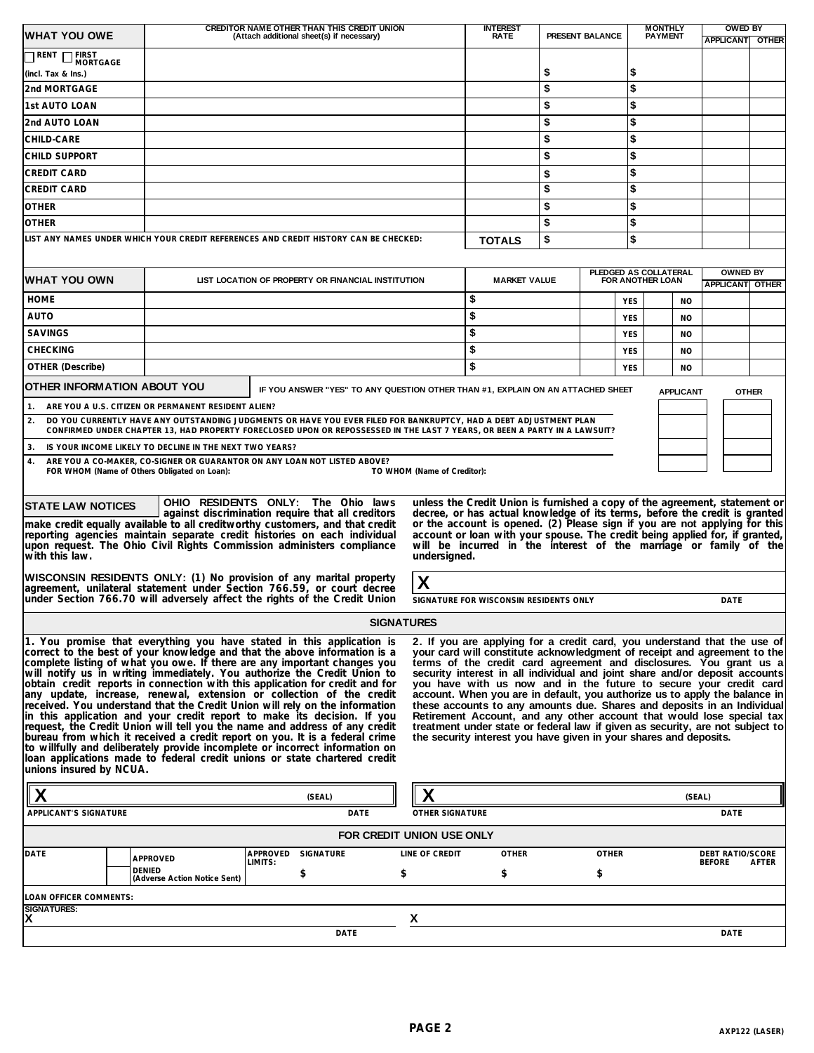| <b>WHAT YOU OWE</b>                                                                                                                                                                                                                                                                                                                                                                                                                                                                                                                                                                                                                                                                                                                                                                                                                                                                                                                                                                                                                                                                                                                                                                                                                                                                                                                                                                                                                                                                                                                                                                                                                                                                                                                                         | CREDITOR NAME OTHER THAN THIS CREDIT UNION<br>(Attach additional sheet(s) if necessary)                                                                                                                                                         | <b>INTEREST</b><br><b>RATE</b>         | <b>MONTHLY</b><br>PRESENT BALANCE<br><b>PAYMENT</b>                             |    |                             | <b>OWED BY</b><br><b>APPLICANT OTHER</b> |                                           |              |            |  |                                           |                         |       |
|-------------------------------------------------------------------------------------------------------------------------------------------------------------------------------------------------------------------------------------------------------------------------------------------------------------------------------------------------------------------------------------------------------------------------------------------------------------------------------------------------------------------------------------------------------------------------------------------------------------------------------------------------------------------------------------------------------------------------------------------------------------------------------------------------------------------------------------------------------------------------------------------------------------------------------------------------------------------------------------------------------------------------------------------------------------------------------------------------------------------------------------------------------------------------------------------------------------------------------------------------------------------------------------------------------------------------------------------------------------------------------------------------------------------------------------------------------------------------------------------------------------------------------------------------------------------------------------------------------------------------------------------------------------------------------------------------------------------------------------------------------------|-------------------------------------------------------------------------------------------------------------------------------------------------------------------------------------------------------------------------------------------------|----------------------------------------|---------------------------------------------------------------------------------|----|-----------------------------|------------------------------------------|-------------------------------------------|--------------|------------|--|-------------------------------------------|-------------------------|-------|
| <b>TEIRST</b><br>MORTGAGE<br>T RENT                                                                                                                                                                                                                                                                                                                                                                                                                                                                                                                                                                                                                                                                                                                                                                                                                                                                                                                                                                                                                                                                                                                                                                                                                                                                                                                                                                                                                                                                                                                                                                                                                                                                                                                         |                                                                                                                                                                                                                                                 |                                        |                                                                                 |    |                             |                                          |                                           |              |            |  |                                           |                         |       |
| (incl. Tax & Ins.)                                                                                                                                                                                                                                                                                                                                                                                                                                                                                                                                                                                                                                                                                                                                                                                                                                                                                                                                                                                                                                                                                                                                                                                                                                                                                                                                                                                                                                                                                                                                                                                                                                                                                                                                          |                                                                                                                                                                                                                                                 |                                        |                                                                                 |    |                             |                                          | \$                                        |              | \$         |  |                                           |                         |       |
| 2nd MORTGAGE                                                                                                                                                                                                                                                                                                                                                                                                                                                                                                                                                                                                                                                                                                                                                                                                                                                                                                                                                                                                                                                                                                                                                                                                                                                                                                                                                                                                                                                                                                                                                                                                                                                                                                                                                |                                                                                                                                                                                                                                                 |                                        |                                                                                 |    |                             |                                          | \$                                        |              | \$         |  |                                           |                         |       |
| 1st AUTO LOAN                                                                                                                                                                                                                                                                                                                                                                                                                                                                                                                                                                                                                                                                                                                                                                                                                                                                                                                                                                                                                                                                                                                                                                                                                                                                                                                                                                                                                                                                                                                                                                                                                                                                                                                                               |                                                                                                                                                                                                                                                 |                                        |                                                                                 |    |                             |                                          | \$                                        |              | \$         |  |                                           |                         |       |
| 2nd AUTO LOAN                                                                                                                                                                                                                                                                                                                                                                                                                                                                                                                                                                                                                                                                                                                                                                                                                                                                                                                                                                                                                                                                                                                                                                                                                                                                                                                                                                                                                                                                                                                                                                                                                                                                                                                                               |                                                                                                                                                                                                                                                 |                                        |                                                                                 |    |                             |                                          | \$                                        |              | \$         |  |                                           |                         |       |
| CHILD-CARE                                                                                                                                                                                                                                                                                                                                                                                                                                                                                                                                                                                                                                                                                                                                                                                                                                                                                                                                                                                                                                                                                                                                                                                                                                                                                                                                                                                                                                                                                                                                                                                                                                                                                                                                                  |                                                                                                                                                                                                                                                 |                                        |                                                                                 |    |                             |                                          | \$                                        |              | \$         |  |                                           |                         |       |
| CHILD SUPPORT                                                                                                                                                                                                                                                                                                                                                                                                                                                                                                                                                                                                                                                                                                                                                                                                                                                                                                                                                                                                                                                                                                                                                                                                                                                                                                                                                                                                                                                                                                                                                                                                                                                                                                                                               |                                                                                                                                                                                                                                                 |                                        |                                                                                 |    |                             |                                          | \$                                        |              | \$         |  |                                           |                         |       |
| <b>CREDIT CARD</b>                                                                                                                                                                                                                                                                                                                                                                                                                                                                                                                                                                                                                                                                                                                                                                                                                                                                                                                                                                                                                                                                                                                                                                                                                                                                                                                                                                                                                                                                                                                                                                                                                                                                                                                                          |                                                                                                                                                                                                                                                 |                                        |                                                                                 |    |                             |                                          | \$                                        |              | \$         |  |                                           |                         |       |
| <b>CREDIT CARD</b>                                                                                                                                                                                                                                                                                                                                                                                                                                                                                                                                                                                                                                                                                                                                                                                                                                                                                                                                                                                                                                                                                                                                                                                                                                                                                                                                                                                                                                                                                                                                                                                                                                                                                                                                          |                                                                                                                                                                                                                                                 |                                        |                                                                                 |    |                             |                                          | \$                                        |              | \$         |  |                                           |                         |       |
| <b>OTHER</b>                                                                                                                                                                                                                                                                                                                                                                                                                                                                                                                                                                                                                                                                                                                                                                                                                                                                                                                                                                                                                                                                                                                                                                                                                                                                                                                                                                                                                                                                                                                                                                                                                                                                                                                                                |                                                                                                                                                                                                                                                 |                                        |                                                                                 |    |                             |                                          | \$                                        |              | \$         |  |                                           |                         |       |
| <b>OTHER</b>                                                                                                                                                                                                                                                                                                                                                                                                                                                                                                                                                                                                                                                                                                                                                                                                                                                                                                                                                                                                                                                                                                                                                                                                                                                                                                                                                                                                                                                                                                                                                                                                                                                                                                                                                |                                                                                                                                                                                                                                                 |                                        |                                                                                 |    |                             |                                          | \$                                        |              | \$         |  |                                           |                         |       |
| LIST ANY NAMES UNDER WHICH YOUR CREDIT REFERENCES AND CREDIT HISTORY CAN BE CHECKED:                                                                                                                                                                                                                                                                                                                                                                                                                                                                                                                                                                                                                                                                                                                                                                                                                                                                                                                                                                                                                                                                                                                                                                                                                                                                                                                                                                                                                                                                                                                                                                                                                                                                        |                                                                                                                                                                                                                                                 |                                        |                                                                                 |    |                             | <b>TOTALS</b>                            | \$                                        |              | \$         |  |                                           |                         |       |
| <b>WHAT YOU OWN</b>                                                                                                                                                                                                                                                                                                                                                                                                                                                                                                                                                                                                                                                                                                                                                                                                                                                                                                                                                                                                                                                                                                                                                                                                                                                                                                                                                                                                                                                                                                                                                                                                                                                                                                                                         |                                                                                                                                                                                                                                                 |                                        | LIST LOCATION OF PROPERTY OR FINANCIAL INSTITUTION                              |    |                             | <b>MARKET VALUE</b>                      | PLEDGED AS COLLATERAL<br>FOR ANOTHER LOAN |              |            |  | <b>OWNED BY</b><br><b>APPLICANT OTHER</b> |                         |       |
| <b>HOME</b>                                                                                                                                                                                                                                                                                                                                                                                                                                                                                                                                                                                                                                                                                                                                                                                                                                                                                                                                                                                                                                                                                                                                                                                                                                                                                                                                                                                                                                                                                                                                                                                                                                                                                                                                                 |                                                                                                                                                                                                                                                 |                                        |                                                                                 |    |                             | \$                                       |                                           |              | <b>YES</b> |  | <b>NO</b>                                 |                         |       |
| AUTO                                                                                                                                                                                                                                                                                                                                                                                                                                                                                                                                                                                                                                                                                                                                                                                                                                                                                                                                                                                                                                                                                                                                                                                                                                                                                                                                                                                                                                                                                                                                                                                                                                                                                                                                                        |                                                                                                                                                                                                                                                 |                                        |                                                                                 |    |                             | \$                                       |                                           |              | <b>YES</b> |  | <b>NO</b>                                 |                         |       |
| <b>SAVINGS</b>                                                                                                                                                                                                                                                                                                                                                                                                                                                                                                                                                                                                                                                                                                                                                                                                                                                                                                                                                                                                                                                                                                                                                                                                                                                                                                                                                                                                                                                                                                                                                                                                                                                                                                                                              |                                                                                                                                                                                                                                                 |                                        |                                                                                 |    |                             | \$                                       |                                           |              | <b>YES</b> |  | <b>NO</b>                                 |                         |       |
| <b>CHECKING</b>                                                                                                                                                                                                                                                                                                                                                                                                                                                                                                                                                                                                                                                                                                                                                                                                                                                                                                                                                                                                                                                                                                                                                                                                                                                                                                                                                                                                                                                                                                                                                                                                                                                                                                                                             |                                                                                                                                                                                                                                                 |                                        |                                                                                 |    |                             | \$                                       |                                           |              | <b>YES</b> |  | <b>NO</b>                                 |                         |       |
| <b>OTHER (Describe)</b>                                                                                                                                                                                                                                                                                                                                                                                                                                                                                                                                                                                                                                                                                                                                                                                                                                                                                                                                                                                                                                                                                                                                                                                                                                                                                                                                                                                                                                                                                                                                                                                                                                                                                                                                     |                                                                                                                                                                                                                                                 |                                        |                                                                                 |    |                             | \$                                       |                                           |              | <b>YES</b> |  | <b>NO</b>                                 |                         |       |
| OTHER INFORMATION ABOUT YOU                                                                                                                                                                                                                                                                                                                                                                                                                                                                                                                                                                                                                                                                                                                                                                                                                                                                                                                                                                                                                                                                                                                                                                                                                                                                                                                                                                                                                                                                                                                                                                                                                                                                                                                                 |                                                                                                                                                                                                                                                 |                                        | IF YOU ANSWER "YES" TO ANY QUESTION OTHER THAN #1, EXPLAIN ON AN ATTACHED SHEET |    |                             |                                          |                                           |              |            |  | <b>APPLICANT</b>                          | <b>OTHER</b>            |       |
| 1.                                                                                                                                                                                                                                                                                                                                                                                                                                                                                                                                                                                                                                                                                                                                                                                                                                                                                                                                                                                                                                                                                                                                                                                                                                                                                                                                                                                                                                                                                                                                                                                                                                                                                                                                                          | ARE YOU A U.S. CITIZEN OR PERMANENT RESIDENT ALIEN?                                                                                                                                                                                             |                                        |                                                                                 |    |                             |                                          |                                           |              |            |  |                                           |                         |       |
| 2.                                                                                                                                                                                                                                                                                                                                                                                                                                                                                                                                                                                                                                                                                                                                                                                                                                                                                                                                                                                                                                                                                                                                                                                                                                                                                                                                                                                                                                                                                                                                                                                                                                                                                                                                                          | DO YOU CURRENTLY HAVE ANY OUTSTANDING JUDGMENTS OR HAVE YOU EVER FILED FOR BANKRUPTCY, HAD A DEBT ADJUSTMENT PLAN<br>CONFIRMED UNDER CHAPTER 13, HAD PROPERTY FORECLOSED UPON OR REPOSSESSED IN THE LAST 7 YEARS, OR BEEN A PARTY IN A LAWSUIT? |                                        |                                                                                 |    |                             |                                          |                                           |              |            |  |                                           |                         |       |
| 3.                                                                                                                                                                                                                                                                                                                                                                                                                                                                                                                                                                                                                                                                                                                                                                                                                                                                                                                                                                                                                                                                                                                                                                                                                                                                                                                                                                                                                                                                                                                                                                                                                                                                                                                                                          | IS YOUR INCOME LIKELY TO DECLINE IN THE NEXT TWO YEARS?                                                                                                                                                                                         |                                        |                                                                                 |    |                             |                                          |                                           |              |            |  |                                           |                         |       |
| 4.                                                                                                                                                                                                                                                                                                                                                                                                                                                                                                                                                                                                                                                                                                                                                                                                                                                                                                                                                                                                                                                                                                                                                                                                                                                                                                                                                                                                                                                                                                                                                                                                                                                                                                                                                          | ARE YOU A CO-MAKER, CO-SIGNER OR GUARANTOR ON ANY LOAN NOT LISTED ABOVE?                                                                                                                                                                        |                                        |                                                                                 |    |                             |                                          |                                           |              |            |  |                                           |                         |       |
| FOR WHOM (Name of Others Obligated on Loan):                                                                                                                                                                                                                                                                                                                                                                                                                                                                                                                                                                                                                                                                                                                                                                                                                                                                                                                                                                                                                                                                                                                                                                                                                                                                                                                                                                                                                                                                                                                                                                                                                                                                                                                |                                                                                                                                                                                                                                                 |                                        |                                                                                 |    | TO WHOM (Name of Creditor): |                                          |                                           |              |            |  |                                           |                         |       |
| OHIO RESIDENTS ONLY: The Ohio laws<br>unless the Credit Union is furnished a copy of the agreement, statement or<br><b>STATE LAW NOTICES</b><br>decree, or has actual knowledge of its terms, before the credit is granted<br>against discrimination require that all creditors<br>or the account is opened. (2) Please sign if you are not applying for this<br>make credit equally available to all creditworthy customers, and that credit<br>reporting agencies maintain separate credit histories on each individual<br>account or loan with your spouse. The credit being applied for, if granted,<br>will be incurred in the interest of the marriage or family of the<br>upon request. The Ohio Civil Rights Commission administers compliance<br>with this law.<br>undersigned.                                                                                                                                                                                                                                                                                                                                                                                                                                                                                                                                                                                                                                                                                                                                                                                                                                                                                                                                                                    |                                                                                                                                                                                                                                                 |                                        |                                                                                 |    |                             |                                          |                                           |              |            |  |                                           |                         |       |
| WISCONSIN RESIDENTS ONLY: (1) No provision of any marital property                                                                                                                                                                                                                                                                                                                                                                                                                                                                                                                                                                                                                                                                                                                                                                                                                                                                                                                                                                                                                                                                                                                                                                                                                                                                                                                                                                                                                                                                                                                                                                                                                                                                                          |                                                                                                                                                                                                                                                 |                                        |                                                                                 |    | X                           |                                          |                                           |              |            |  |                                           |                         |       |
| agreement, unilateral statement under Section 766.59, or court decree<br>under Section 766.70 will adversely affect the rights of the Credit Union                                                                                                                                                                                                                                                                                                                                                                                                                                                                                                                                                                                                                                                                                                                                                                                                                                                                                                                                                                                                                                                                                                                                                                                                                                                                                                                                                                                                                                                                                                                                                                                                          |                                                                                                                                                                                                                                                 | SIGNATURE FOR WISCONSIN RESIDENTS ONLY |                                                                                 |    |                             |                                          |                                           | <b>DATE</b>  |            |  |                                           |                         |       |
|                                                                                                                                                                                                                                                                                                                                                                                                                                                                                                                                                                                                                                                                                                                                                                                                                                                                                                                                                                                                                                                                                                                                                                                                                                                                                                                                                                                                                                                                                                                                                                                                                                                                                                                                                             |                                                                                                                                                                                                                                                 |                                        |                                                                                 |    | <b>SIGNATURES</b>           |                                          |                                           |              |            |  |                                           |                         |       |
| 1. You promise that everything you have stated in this application is<br>2. If you are applying for a credit card, you understand that the use of<br>correct to the best of your knowledge and that the above information is a<br>your card will constitute acknowledgment of receipt and agreement to the<br>complete listing of what you owe. If there are any important changes you<br>terms of the credit card agreement and disclosures. You grant us a<br>will notify us in writing immediately. You authorize the Credit Union to<br>security interest in all individual and joint share and/or deposit accounts<br>obtain credit reports in connection with this application for credit and for<br>you have with us now and in the future to secure your credit card<br>any update, increase, renewal, extension or collection of the credit<br>account. When you are in default, you authorize us to apply the balance in<br>received. You understand that the Credit Union will rely on the information<br>these accounts to any amounts due. Shares and deposits in an Individual<br>in this application and your credit report to make its decision. If you<br>Retirement Account, and any other account that would lose special tax<br>request, the Credit Union will tell you the name and address of any credit<br>treatment under state or federal law if given as security, are not subject to<br>bureau from which it received a credit report on you. It is a federal crime<br>the security interest you have given in your shares and deposits.<br>to willfully and deliberately provide incomplete or incorrect information on<br>loan applications made to federal credit unions or state chartered credit<br>unions insured by NCUA. |                                                                                                                                                                                                                                                 |                                        |                                                                                 |    |                             |                                          |                                           |              |            |  |                                           |                         |       |
| Χ                                                                                                                                                                                                                                                                                                                                                                                                                                                                                                                                                                                                                                                                                                                                                                                                                                                                                                                                                                                                                                                                                                                                                                                                                                                                                                                                                                                                                                                                                                                                                                                                                                                                                                                                                           |                                                                                                                                                                                                                                                 |                                        | (SEAL)                                                                          |    |                             |                                          |                                           |              |            |  | (SEAL)                                    |                         |       |
| APPLICANT'S SIGNATURE                                                                                                                                                                                                                                                                                                                                                                                                                                                                                                                                                                                                                                                                                                                                                                                                                                                                                                                                                                                                                                                                                                                                                                                                                                                                                                                                                                                                                                                                                                                                                                                                                                                                                                                                       |                                                                                                                                                                                                                                                 |                                        | DATE                                                                            |    | OTHER SIGNATURE             |                                          |                                           |              |            |  |                                           | <b>DATE</b>             |       |
|                                                                                                                                                                                                                                                                                                                                                                                                                                                                                                                                                                                                                                                                                                                                                                                                                                                                                                                                                                                                                                                                                                                                                                                                                                                                                                                                                                                                                                                                                                                                                                                                                                                                                                                                                             |                                                                                                                                                                                                                                                 |                                        |                                                                                 |    | FOR CREDIT UNION USE ONLY   |                                          |                                           |              |            |  |                                           |                         |       |
| DATE                                                                                                                                                                                                                                                                                                                                                                                                                                                                                                                                                                                                                                                                                                                                                                                                                                                                                                                                                                                                                                                                                                                                                                                                                                                                                                                                                                                                                                                                                                                                                                                                                                                                                                                                                        |                                                                                                                                                                                                                                                 | APPROVED                               | SIGNATURE                                                                       |    | LINE OF CREDIT              | <b>OTHER</b>                             |                                           | <b>OTHER</b> |            |  |                                           | <b>DEBT RATIO/SCORE</b> |       |
|                                                                                                                                                                                                                                                                                                                                                                                                                                                                                                                                                                                                                                                                                                                                                                                                                                                                                                                                                                                                                                                                                                                                                                                                                                                                                                                                                                                                                                                                                                                                                                                                                                                                                                                                                             | APPROVED<br>DENIED<br>(Adverse Action Notice Sent)                                                                                                                                                                                              | LIMITS:                                | \$                                                                              | \$ |                             | \$                                       |                                           | \$           |            |  |                                           | <b>BEFORE</b>           | AFTER |
| LOAN OFFICER COMMENTS:                                                                                                                                                                                                                                                                                                                                                                                                                                                                                                                                                                                                                                                                                                                                                                                                                                                                                                                                                                                                                                                                                                                                                                                                                                                                                                                                                                                                                                                                                                                                                                                                                                                                                                                                      |                                                                                                                                                                                                                                                 |                                        |                                                                                 |    |                             |                                          |                                           |              |            |  |                                           |                         |       |
| <b>SIGNATURES:</b><br>X                                                                                                                                                                                                                                                                                                                                                                                                                                                                                                                                                                                                                                                                                                                                                                                                                                                                                                                                                                                                                                                                                                                                                                                                                                                                                                                                                                                                                                                                                                                                                                                                                                                                                                                                     |                                                                                                                                                                                                                                                 |                                        |                                                                                 |    | X                           |                                          |                                           |              |            |  |                                           |                         |       |
|                                                                                                                                                                                                                                                                                                                                                                                                                                                                                                                                                                                                                                                                                                                                                                                                                                                                                                                                                                                                                                                                                                                                                                                                                                                                                                                                                                                                                                                                                                                                                                                                                                                                                                                                                             |                                                                                                                                                                                                                                                 |                                        | DATE                                                                            |    |                             |                                          |                                           |              |            |  |                                           | <b>DATE</b>             |       |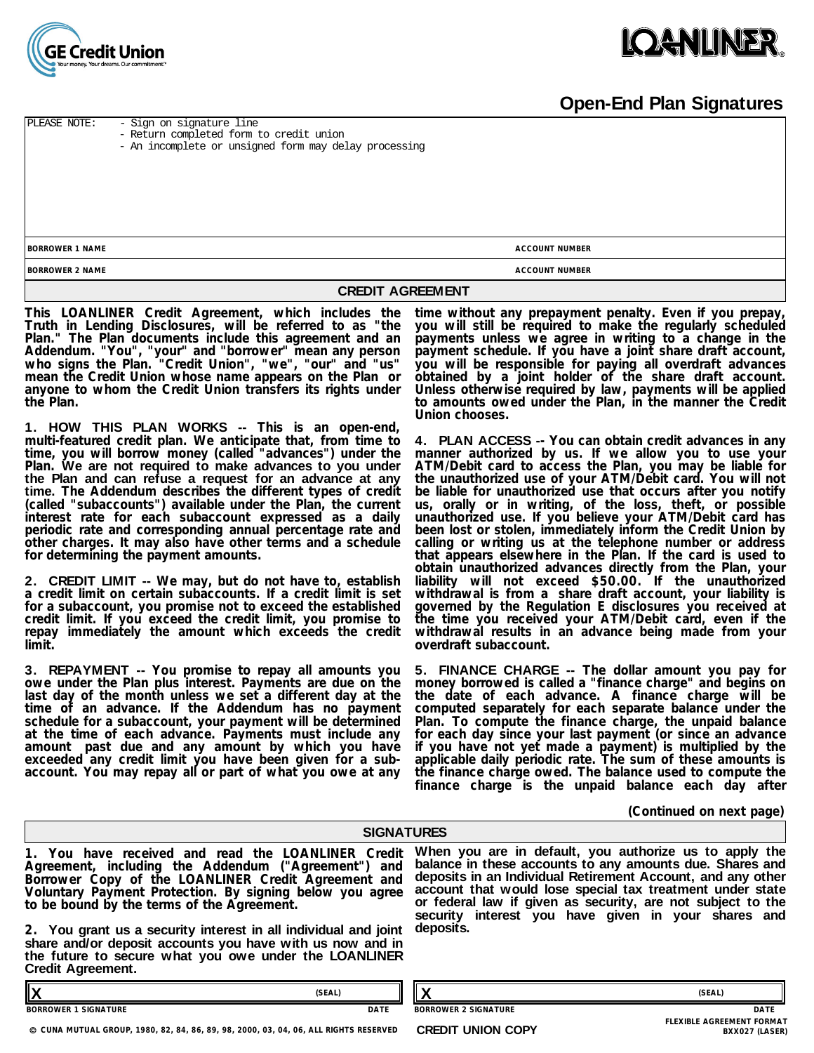

## **Open-End Plan Signatures**

**BORROWER 1 NAME BORROWER 2 NAME ACCOUNT NUMBER ACCOUNT NUMBER** PLEASE NOTE: - Sign on signature line - Return completed form to credit union - An incomplete or unsigned form may delay processing

#### **CREDIT AGREEMENT**

**This LOANLINER Credit Agreement, which includes the Truth in Lending Disclosures, will be referred to as "the Plan." The Plan documents include this agreement and an Addendum. "You", "your" and "borrower" mean any person who signs the Plan. "Credit Union", "we", "our" and "us" mean the Credit Union whose name appears on the Plan or anyone to whom the Credit Union transfers its rights under the Plan.** 

**1. HOW THIS PLAN WORKS -- This is an open-end, multi-featured credit plan. We anticipate that, from time to time, you will borrow money (called "advances") under the Plan. We are not required to make advances to you under the Plan and can refuse a request for an advance at any time. The Addendum describes the different types of credit (called "subaccounts") available under the Plan, the current interest rate for each subaccount expressed as a daily periodic rate and corresponding annual percentage rate and other charges. It may also have other terms and a schedule for determining the payment amounts.** 

**2. CREDIT LIMIT -- We may, but do not have to, establish a credit limit on certain subaccounts. If a credit limit is set for a subaccount, you promise not to exceed the established credit limit. If you exceed the credit limit, you promise to repay immediately the amount which exceeds the credit limit.**

**3. REPAYMENT -- You promise to repay all amounts you owe under the Plan plus interest. Payments are due on the last day of the month unless we set a different day at the time of an advance. If the Addendum has no payment schedule for a subaccount, your payment will be determined at the time of each advance. Payments must include any amount past due and any amount by which you have** exceeded any credit limit you have been given for a sub**account. You may repay all or part of what you owe at any**

**time without any prepayment penalty. Even if you prepay, you will still be required to make the regularly scheduled payments unless we agree in writing to a change in the payment schedule. If you have a joint share draft account, you will be responsible for paying all overdraft advances obtained by a joint holder of the share draft account. Unless otherwise required by law, payments will be applied to amounts owed under the Plan, in the manner the Credit Union chooses.** 

**4. PLAN ACCESS -- You can obtain credit advances in any manner authorized by us. If we allow you to use your ATM/Debit card to access the Plan, you may be liable for the unauthorized use of your ATM/Debit card. You will not be liable for unauthorized use that occurs after you notify us, orally or in writing, of the loss, theft, or possible unauthorized use. If you believe your ATM/Debit card has been lost or stolen, immediately inform the Credit Union by calling or writing us at the telephone number or address that appears elsewhere in the Plan. If the card is used to obtain unauthorized advances directly from the Plan, your liability will not exceed \$50.00. If the unauthorized withdrawal is from a share draft account, your liability is governed by the Regulation E disclosures you received at the time you received your ATM/Debit card, even if the withdrawal results in an advance being made from your overdraft subaccount.** 

**5. FINANCE CHARGE -- The dollar amount you pay for money borrowed is called a "finance charge" and begins on the date of each advance. A finance charge will be computed separately for each separate balance under the Plan. To compute the finance charge, the unpaid balance for each day since your last payment (or since an advance if you have not yet made a payment) is multiplied by the applicable daily periodic rate. The sum of these amounts is the finance charge owed. The balance used to compute the finance charge is the unpaid balance each day after**

#### **(Continued on next page)**

|                                                                                                                                                                                                                                                                                                                                                                                                                                                                                                 | <b>SIGNATURES</b> |                             |                                                                                                                                                                                                                                                                                                                                                                      |
|-------------------------------------------------------------------------------------------------------------------------------------------------------------------------------------------------------------------------------------------------------------------------------------------------------------------------------------------------------------------------------------------------------------------------------------------------------------------------------------------------|-------------------|-----------------------------|----------------------------------------------------------------------------------------------------------------------------------------------------------------------------------------------------------------------------------------------------------------------------------------------------------------------------------------------------------------------|
| 1. You have received and read the LOANLINER Credit<br>Agreement, including the Addendum ("Agreement") and<br>Borrower Copy of the LOANLINER Credit Agreement and<br>Voluntary Payment Protection. By signing below you agree<br>to be bound by the terms of the Agreement.<br>2. You grant us a security interest in all individual and joint<br>share and/or deposit accounts you have with us now and in<br>the future to secure what you owe under the LOANLINER<br><b>Credit Agreement.</b> |                   | deposits.                   | When you are in default, you authorize us to apply the<br>balance in these accounts to any amounts due. Shares and<br>deposits in an Individual Retirement Account, and any other<br>account that would lose special tax treatment under state<br>or federal law if given as security, are not subject to the<br>security interest you have given in your shares and |
|                                                                                                                                                                                                                                                                                                                                                                                                                                                                                                 | (SEAL)            |                             | (SEAL)                                                                                                                                                                                                                                                                                                                                                               |
| <b>BORROWER 1 SIGNATURE</b>                                                                                                                                                                                                                                                                                                                                                                                                                                                                     | DATE              | <b>BORROWER 2 SIGNATURE</b> | <b>DATE</b>                                                                                                                                                                                                                                                                                                                                                          |

**CUNA MUTUAL GROUP, 1980, 82, 84, 86, 89, 98, 2000, 03, 04, 06, ALL RIGHTS RESERVED**

**CREDIT UNION COPY** 

**FLEXIBLE AGREEMENT FORMAT**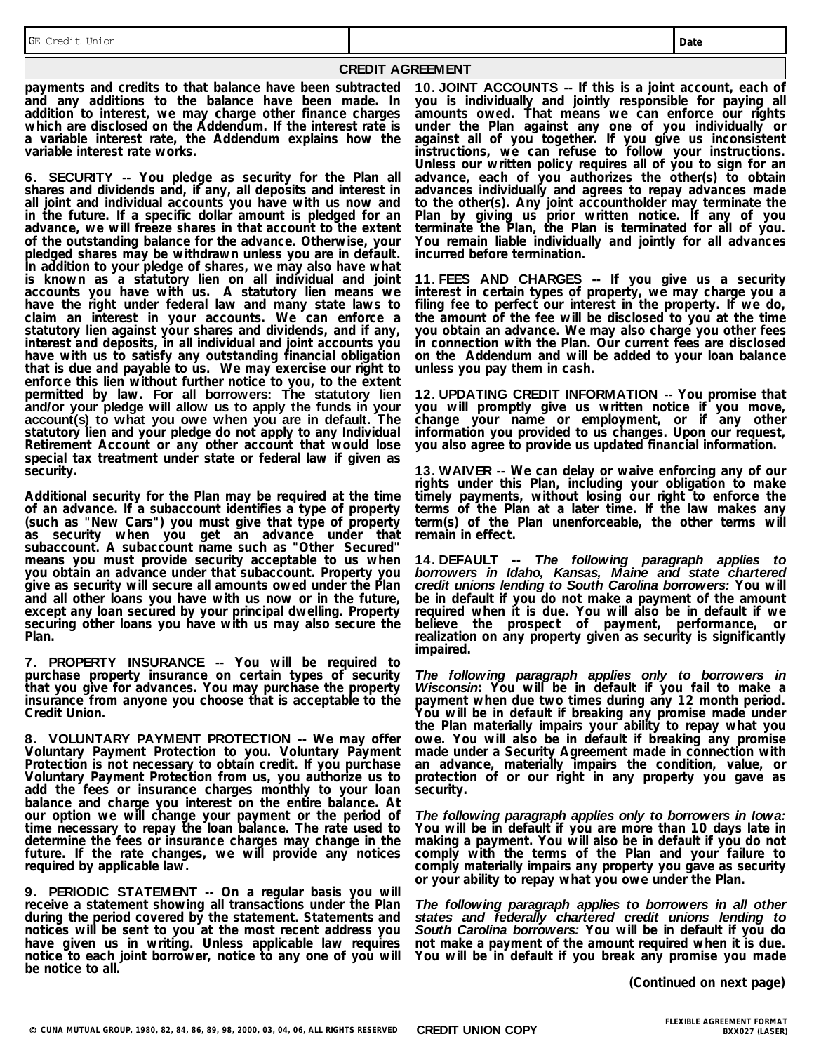**CREDIT AGREEMENT**

**payments and credits to that balance have been subtracted and any additions to the balance have been made. In addition to interest, we may charge other finance charges which are disclosed on the Addendum. If the interest rate is a variable interest rate, the Addendum explains how the variable interest rate works.** 

**6. SECURITY -- You pledge as security for the Plan all shares and dividends and, if any, all deposits and interest in all joint and individual accounts you have with us now and in the future. If a specific dollar amount is pledged for an advance, we will freeze shares in that account to the extent of the outstanding balance for the advance. Otherwise, your pledged shares may be withdrawn unless you are in default. In addition to your pledge of shares, we may also have what** is known as a statutory lien on all individual and joint **accounts you have with us. A statutory lien means we have the right under federal law and many state laws to claim an interest in your accounts. We can enforce a statutory lien against your shares and dividends, and if any, interest and deposits, in all individual and joint accounts you have with us to satisfy any outstanding financial obligation that is due and payable to us. We may exercise our right to enforce this lien without further notice to you, to the extent permitted by law. For all borrowers: The statutory lien and/or your pledge will allow us to apply the funds in your account(s) to what you owe when you are in default. The statutory lien and your pledge do not apply to any Individual Retirement Account or any other account that would lose special tax treatment under state or federal law if given as security.**

**Additional security for the Plan may be required at the time of an advance. If a subaccount identifies a type of property (such as "New Cars") you must give that type of property as security when you get an advance under that subaccount. A subaccount name such as "Other Secured" means you must provide security acceptable to us when you obtain an advance under that subaccount. Property you give as security will secure all amounts owed under the Plan and all other loans you have with us now or in the future, except any loan secured by your principal dwelling. Property securing other loans you have with us may also secure the Plan.**

**7. PROPERTY INSURANCE -- You will be required to purchase property insurance on certain types of security that you give for advances. You may purchase the property insurance from anyone you choose that is acceptable to the Credit Union.** 

**8. VOLUNTARY PAYMENT PROTECTION -- We may offer Voluntary Payment Protection to you. Voluntary Payment Protection is not necessary to obtain credit. If you purchase Voluntary Payment Protection from us, you authorize us to add the fees or insurance charges monthly to your loan balance and charge you interest on the entire balance. At our option we will change your payment or the period of time necessary to repay the loan balance. The rate used to determine the fees or insurance charges may change in the future. If the rate changes, we will provide any notices required by applicable law.**

**9. PERIODIC STATEMENT -- On a regular basis you will receive a statement showing all transactions under the Plan during the period covered by the statement. Statements and notices will be sent to you at the most recent address you have given us in writing. Unless applicable law requires notice to each joint borrower, notice to any one of you will be notice to all.**

**10. JOINT ACCOUNTS -- If this is a joint account, each of you is individually and jointly responsible for paying all amounts owed. That means we can enforce our rights under the Plan against any one of you individually or against all of you together. If you give us inconsistent instructions, we can refuse to follow your instructions. Unless our written policy requires all of you to sign for an advance, each of you authorizes the other(s) to obtain advances individually and agrees to repay advances made to the other(s). Any joint accountholder may terminate the Plan by giving us prior written notice. If any of you terminate the Plan, the Plan is terminated for all of you. You remain liable individually and jointly for all advances incurred before termination.** 

**11. FEES AND CHARGES -- If you give us a security interest in certain types of property, we may charge you a filing fee to perfect our interest in the property. If we do, the amount of the fee will be disclosed to you at the time you obtain an advance. We may also charge you other fees in connection with the Plan. Our current fees are disclosed on the Addendum and will be added to your loan balance unless you pay them in cash.** 

**12. UPDATING CREDIT INFORMATION -- You promise that you will promptly give us written notice if you move, change your name or employment, or if any other information you provided to us changes. Upon our request, you also agree to provide us updated financial information.** 

**13. WAIVER -- We can delay or waive enforcing any of our rights under this Plan, including your obligation to make timely payments, without losing our right to enforce the terms of the Plan at a later time. If the law makes any term(s) of the Plan unenforceable, the other terms will remain in effect.** 

**14. DEFAULT --** *The following paragraph applies to borrowers in Idaho, Kansas, Maine and state chartered credit unions lending to South Carolina borrowers:* **You will be in default if you do not make a payment of the amount required when it is due. You will also be in default if we believe the prospect of payment, performance, or realization on any property given as security is significantly impaired.** 

*The following paragraph applies only to borrowers in Wisconsin***: You will be in default if you fail to make a payment when due two times during any 12 month period. You will be in default if breaking any promise made under the Plan materially impairs your ability to repay what you owe. You will also be in default if breaking any promise made under a Security Agreement made in connection with an advance, materially impairs the condition, value, or protection of or our right in any property you gave as security.** 

*The following paragraph applies only to borrowers in Iowa:* **You will be in default if you are more than 10 days late in making a payment. You will also be in default if you do not comply with the terms of the Plan and your failure to comply materially impairs any property you gave as security or your ability to repay what you owe under the Plan.** 

*The following paragraph applies to borrowers in all other states and federally chartered credit unions lending to South Carolina borrowers:* **You will be in default if you do not make a payment of the amount required when it is due. You will be in default if you break any promise you made**

**(Continued on next page)**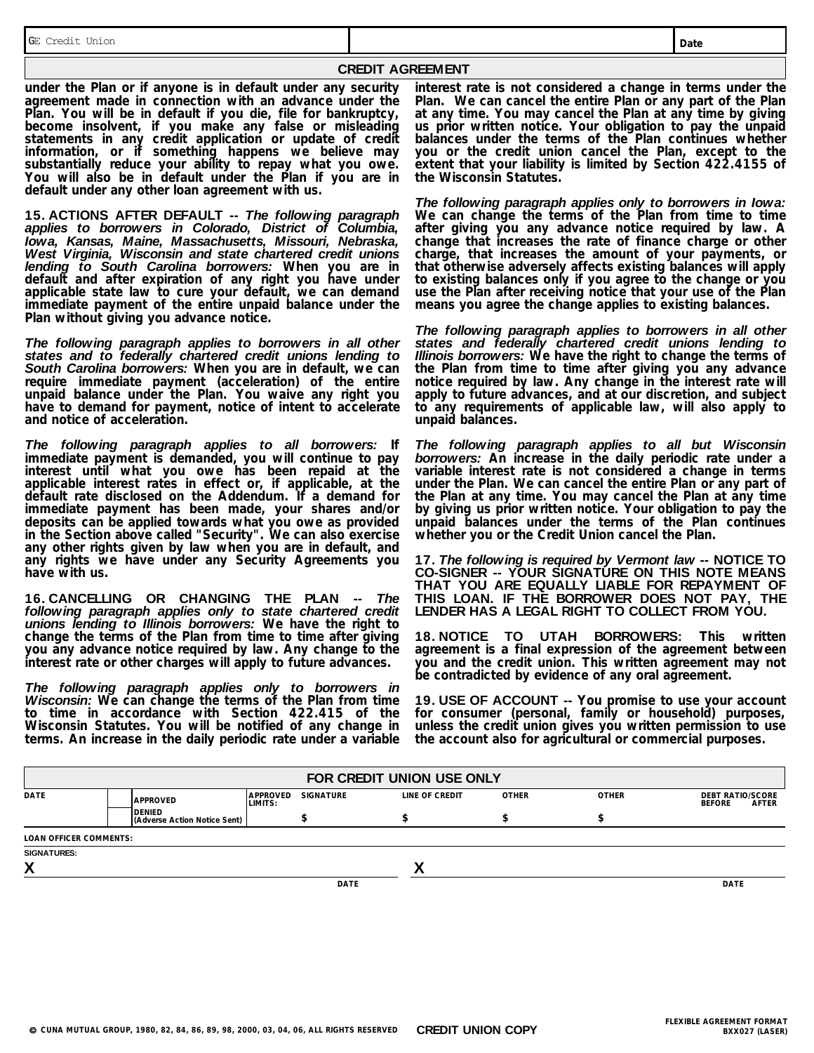GE Credit Union

**CREDIT AGREEMENT**

**under the Plan or if anyone is in default under any security agreement made in connection with an advance under the Plan. You will be in default if you die, file for bankruptcy, become insolvent, if you make any false or misleading statements in any credit application or update of credit information, or if something happens we believe may substantially reduce your ability to repay what you owe. You will also be in default under the Plan if you are in default under any other loan agreement with us.** 

**15. ACTIONS AFTER DEFAULT --** *The following paragraph applies to borrowers in Colorado, District of Columbia, Iowa, Kansas, Maine, Massachusetts, Missouri, Nebraska, West Virginia, Wisconsin and state chartered credit unions lending to South Carolina borrowers:* **When you are in default and after expiration of any right you have under applicable state law to cure your default, we can demand immediate payment of the entire unpaid balance under the Plan without giving you advance notice.** 

*The following paragraph applies to borrowers in all other states and to federally chartered credit unions lending to South Carolina borrowers:* **When you are in default, we can require immediate payment (acceleration) of the entire unpaid balance under the Plan. You waive any right you have to demand for payment, notice of intent to accelerate and notice of acceleration.** 

*The following paragraph applies to all borrowers:* **If immediate payment is demanded, you will continue to pay interest until what you owe has been repaid at the applicable interest rates in effect or, if applicable, at the default rate disclosed on the Addendum. If a demand for immediate payment has been made, your shares and/or deposits can be applied towards what you owe as provided in the Section above called "Security". We can also exercise any other rights given by law when you are in default, and any rights we have under any Security Agreements you have with us.** 

**16. CANCELLING OR CHANGING THE PLAN --** *The following paragraph applies only to state chartered credit unions lending to Illinois borrowers:* **We have the right to change the terms of the Plan from time to time after giving you any advance notice required by law. Any change to the interest rate or other charges will apply to future advances.**

*The following paragraph applies only to borrowers in Wisconsin:* **We can change the terms of the Plan from time to time in accordance with Section 422.415 of the Wisconsin Statutes. You will be notified of any change in terms. An increase in the daily periodic rate under a variable**

**interest rate is not considered a change in terms under the Plan. We can cancel the entire Plan or any part of the Plan at any time. You may cancel the Plan at any time by giving us prior written notice. Your obligation to pay the unpaid balances under the terms of the Plan continues whether you or the credit union cancel the Plan, except to the extent that your liability is limited by Section 422.4155 of the Wisconsin Statutes.** 

*The following paragraph applies only to borrowers in Iowa:* **We can change the terms of the Plan from time to time after giving you any advance notice required by law. A change that increases the rate of finance charge or other charge, that increases the amount of your payments, or that otherwise adversely affects existing balances will apply to existing balances only if you agree to the change or you use the Plan after receiving notice that your use of the Plan means you agree the change applies to existing balances.** 

*The following paragraph applies to borrowers in all other states and federally chartered credit unions lending to Illinois borrowers:* **We have the right to change the terms of** the Plan from time to time after giving you any advance **notice required by law. Any change in the interest rate will apply to future advances, and at our discretion, and subject to any requirements of applicable law, will also apply to unpaid balances.** 

*The following paragraph applies to all but Wisconsin borrowers:* **An increase in the daily periodic rate under a variable interest rate is not considered a change in terms under the Plan. We can cancel the entire Plan or any part of the Plan at any time. You may cancel the Plan at any time by giving us prior written notice. Your obligation to pay the unpaid balances under the terms of the Plan continues whether you or the Credit Union cancel the Plan.**

**17.** *The following is required by Vermont law --* **NOTICE TO CO-SIGNER -- YOUR SIGNATURE ON THIS NOTE MEANS THAT YOU ARE EQUALLY LIABLE FOR REPAYMENT OF THIS LOAN. IF THE BORROWER DOES NOT PAY, THE LENDER HAS A LEGAL RIGHT TO COLLECT FROM YOU.** 

**18. NOTICE TO UTAH BORROWERS: This written agreement is a final expression of the agreement between you and the credit union. This written agreement may not be contradicted by evidence of any oral agreement.** 

**19. USE OF ACCOUNT -- You promise to use your account for consumer (personal, family or household) purposes, unless the credit union gives you written permission to use the account also for agricultural or commercial purposes.** 

| FOR CREDIT UNION USE ONLY |                                        |                     |                  |  |                |              |              |                                                   |  |
|---------------------------|----------------------------------------|---------------------|------------------|--|----------------|--------------|--------------|---------------------------------------------------|--|
| <b>DATE</b>               | <b>APPROVED</b>                        | APPROVED<br>LIMITS: | <b>SIGNATURE</b> |  | LINE OF CREDIT | <b>OTHER</b> | <b>OTHER</b> | <b>DEBT RATIO/SCORE</b><br>AFTER<br><b>BEFORE</b> |  |
|                           | DENIED<br>(Adverse Action Notice Sent) |                     |                  |  |                |              | -JD          |                                                   |  |
| LOAN OFFICER COMMENTS:    |                                        |                     |                  |  |                |              |              |                                                   |  |
| <b>SIGNATURES:</b>        |                                        |                     |                  |  |                |              |              |                                                   |  |
| X                         |                                        |                     |                  |  |                |              |              |                                                   |  |
|                           |                                        |                     | <b>DATE</b>      |  |                |              |              | <b>DATE</b>                                       |  |
|                           |                                        |                     |                  |  |                |              |              |                                                   |  |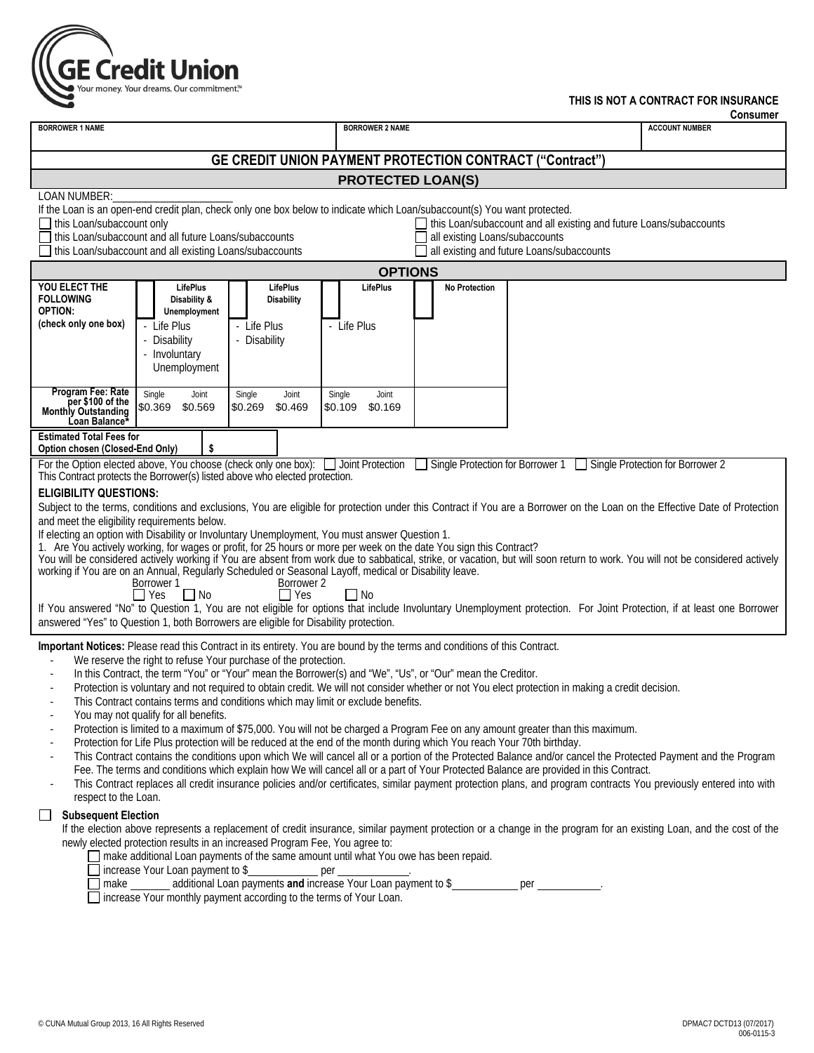

### **THIS IS NOT A CONTRACT FOR INSURANCE**

|                                                                                                                                                                                                                                                                                                                                                                                                                                                                                                                                                                                                                                                                                                                                                                                                                                                                                                                                                                                                                                                                                                                                                                                                                                                                                                                                                                                                                                                                                                                                                                                                                                                                                                                                                                                                                                                                                                                                                                                                                                                                                                                                                                |                                                                      |                                                          |                             |                               |                   |                  |  |                                                                                                                                                                                                                |                                  |                                                                                                                                       |                                                                                                                                                                                                                                                                                                                                           | <b>Consumer</b> |
|----------------------------------------------------------------------------------------------------------------------------------------------------------------------------------------------------------------------------------------------------------------------------------------------------------------------------------------------------------------------------------------------------------------------------------------------------------------------------------------------------------------------------------------------------------------------------------------------------------------------------------------------------------------------------------------------------------------------------------------------------------------------------------------------------------------------------------------------------------------------------------------------------------------------------------------------------------------------------------------------------------------------------------------------------------------------------------------------------------------------------------------------------------------------------------------------------------------------------------------------------------------------------------------------------------------------------------------------------------------------------------------------------------------------------------------------------------------------------------------------------------------------------------------------------------------------------------------------------------------------------------------------------------------------------------------------------------------------------------------------------------------------------------------------------------------------------------------------------------------------------------------------------------------------------------------------------------------------------------------------------------------------------------------------------------------------------------------------------------------------------------------------------------------|----------------------------------------------------------------------|----------------------------------------------------------|-----------------------------|-------------------------------|-------------------|------------------|--|----------------------------------------------------------------------------------------------------------------------------------------------------------------------------------------------------------------|----------------------------------|---------------------------------------------------------------------------------------------------------------------------------------|-------------------------------------------------------------------------------------------------------------------------------------------------------------------------------------------------------------------------------------------------------------------------------------------------------------------------------------------|-----------------|
| <b>BORROWER 1 NAME</b>                                                                                                                                                                                                                                                                                                                                                                                                                                                                                                                                                                                                                                                                                                                                                                                                                                                                                                                                                                                                                                                                                                                                                                                                                                                                                                                                                                                                                                                                                                                                                                                                                                                                                                                                                                                                                                                                                                                                                                                                                                                                                                                                         | <b>BORROWER 2 NAME</b>                                               |                                                          |                             |                               |                   |                  |  |                                                                                                                                                                                                                |                                  | <b>ACCOUNT NUMBER</b>                                                                                                                 |                                                                                                                                                                                                                                                                                                                                           |                 |
| <b>GE CREDIT UNION PAYMENT PROTECTION CONTRACT ("Contract")</b>                                                                                                                                                                                                                                                                                                                                                                                                                                                                                                                                                                                                                                                                                                                                                                                                                                                                                                                                                                                                                                                                                                                                                                                                                                                                                                                                                                                                                                                                                                                                                                                                                                                                                                                                                                                                                                                                                                                                                                                                                                                                                                |                                                                      |                                                          |                             |                               |                   |                  |  |                                                                                                                                                                                                                |                                  |                                                                                                                                       |                                                                                                                                                                                                                                                                                                                                           |                 |
| <b>PROTECTED LOAN(S)</b>                                                                                                                                                                                                                                                                                                                                                                                                                                                                                                                                                                                                                                                                                                                                                                                                                                                                                                                                                                                                                                                                                                                                                                                                                                                                                                                                                                                                                                                                                                                                                                                                                                                                                                                                                                                                                                                                                                                                                                                                                                                                                                                                       |                                                                      |                                                          |                             |                               |                   |                  |  |                                                                                                                                                                                                                |                                  |                                                                                                                                       |                                                                                                                                                                                                                                                                                                                                           |                 |
| LOAN NUMBER:<br>If the Loan is an open-end credit plan, check only one box below to indicate which Loan/subaccount(s) You want protected.<br>this Loan/subaccount only<br>this Loan/subaccount and all existing and future Loans/subaccounts<br>all existing Loans/subaccounts<br>this Loan/subaccount and all future Loans/subaccounts<br>all existing and future Loans/subaccounts<br>this Loan/subaccount and all existing Loans/subaccounts                                                                                                                                                                                                                                                                                                                                                                                                                                                                                                                                                                                                                                                                                                                                                                                                                                                                                                                                                                                                                                                                                                                                                                                                                                                                                                                                                                                                                                                                                                                                                                                                                                                                                                                |                                                                      |                                                          |                             |                               |                   |                  |  |                                                                                                                                                                                                                |                                  |                                                                                                                                       |                                                                                                                                                                                                                                                                                                                                           |                 |
| <b>OPTIONS</b>                                                                                                                                                                                                                                                                                                                                                                                                                                                                                                                                                                                                                                                                                                                                                                                                                                                                                                                                                                                                                                                                                                                                                                                                                                                                                                                                                                                                                                                                                                                                                                                                                                                                                                                                                                                                                                                                                                                                                                                                                                                                                                                                                 |                                                                      |                                                          |                             |                               |                   |                  |  |                                                                                                                                                                                                                |                                  |                                                                                                                                       |                                                                                                                                                                                                                                                                                                                                           |                 |
| YOU ELECT THE<br><b>FOLLOWING</b><br>OPTION:<br>(check only one box)                                                                                                                                                                                                                                                                                                                                                                                                                                                                                                                                                                                                                                                                                                                                                                                                                                                                                                                                                                                                                                                                                                                                                                                                                                                                                                                                                                                                                                                                                                                                                                                                                                                                                                                                                                                                                                                                                                                                                                                                                                                                                           | - Life Plus<br>Disability<br>- Involuntary                           | LifePlus<br>Disability &<br>Unemployment<br>Unemployment | - Life Plus<br>- Disability | LifePlus<br><b>Disability</b> | - Life Plus       | LifePlus         |  | <b>No Protection</b>                                                                                                                                                                                           |                                  |                                                                                                                                       |                                                                                                                                                                                                                                                                                                                                           |                 |
| Program Fee: Rate<br>per \$100 of the<br><b>Monthly Outstanding</b><br>Loan Balance*                                                                                                                                                                                                                                                                                                                                                                                                                                                                                                                                                                                                                                                                                                                                                                                                                                                                                                                                                                                                                                                                                                                                                                                                                                                                                                                                                                                                                                                                                                                                                                                                                                                                                                                                                                                                                                                                                                                                                                                                                                                                           | Single<br>\$0.369                                                    | Joint<br>\$0.569                                         | Single<br>\$0.269           | Joint<br>\$0.469              | Single<br>\$0.109 | Joint<br>\$0.169 |  |                                                                                                                                                                                                                |                                  |                                                                                                                                       |                                                                                                                                                                                                                                                                                                                                           |                 |
| <b>Estimated Total Fees for</b><br>Option chosen (Closed-End Only)                                                                                                                                                                                                                                                                                                                                                                                                                                                                                                                                                                                                                                                                                                                                                                                                                                                                                                                                                                                                                                                                                                                                                                                                                                                                                                                                                                                                                                                                                                                                                                                                                                                                                                                                                                                                                                                                                                                                                                                                                                                                                             |                                                                      | \$                                                       |                             |                               |                   |                  |  |                                                                                                                                                                                                                |                                  |                                                                                                                                       |                                                                                                                                                                                                                                                                                                                                           |                 |
| For the Option elected above, You choose (check only one box):<br>This Contract protects the Borrower(s) listed above who elected protection.                                                                                                                                                                                                                                                                                                                                                                                                                                                                                                                                                                                                                                                                                                                                                                                                                                                                                                                                                                                                                                                                                                                                                                                                                                                                                                                                                                                                                                                                                                                                                                                                                                                                                                                                                                                                                                                                                                                                                                                                                  |                                                                      |                                                          |                             |                               |                   | Joint Protection |  |                                                                                                                                                                                                                | Single Protection for Borrower 1 |                                                                                                                                       | Single Protection for Borrower 2                                                                                                                                                                                                                                                                                                          |                 |
| <b>ELIGIBILITY QUESTIONS:</b><br>Subject to the terms, conditions and exclusions, You are eligible for protection under this Contract if You are a Borrower on the Loan on the Effective Date of Protection<br>and meet the eligibility requirements below.<br>If electing an option with Disability or Involuntary Unemployment, You must answer Question 1.<br>1. Are You actively working, for wages or profit, for 25 hours or more per week on the date You sign this Contract?<br>You will be considered actively working if You are absent from work due to sabbatical, strike, or vacation, but will soon return to work. You will not be considered actively<br>working if You are on an Annual, Regularly Scheduled or Seasonal Layoff, medical or Disability leave.<br>Borrower 1<br>Borrower 2<br>$\Box$ Yes<br>$\Box$ Yes<br>$\Box$ No<br>$\Box$ No<br>If You answered "No" to Question 1, You are not eligible for options that include Involuntary Unemployment protection. For Joint Protection, if at least one Borrower<br>answered "Yes" to Question 1, both Borrowers are eligible for Disability protection.<br>Important Notices: Please read this Contract in its entirety. You are bound by the terms and conditions of this Contract.<br>We reserve the right to refuse Your purchase of the protection.<br>In this Contract, the term "You" or "Your" mean the Borrower(s) and "We", "Us", or "Our" mean the Creditor.<br>Protection is voluntary and not required to obtain credit. We will not consider whether or not You elect protection in making a credit decision.<br>This Contract contains terms and conditions which may limit or exclude benefits.<br>You may not qualify for all benefits.<br>Protection is limited to a maximum of \$75,000. You will not be charged a Program Fee on any amount greater than this maximum.<br>Protection for Life Plus protection will be reduced at the end of the month during which You reach Your 70th birthday.<br>This Contract contains the conditions upon which We will cancel all or a portion of the Protected Balance and/or cancel the Protected Payment and the Program |                                                                      |                                                          |                             |                               |                   |                  |  |                                                                                                                                                                                                                |                                  |                                                                                                                                       |                                                                                                                                                                                                                                                                                                                                           |                 |
| $\overline{\phantom{a}}$<br>respect to the Loan.<br><b>Subsequent Election</b><br>newly elected protection results in an increased Program Fee, You agree to:                                                                                                                                                                                                                                                                                                                                                                                                                                                                                                                                                                                                                                                                                                                                                                                                                                                                                                                                                                                                                                                                                                                                                                                                                                                                                                                                                                                                                                                                                                                                                                                                                                                                                                                                                                                                                                                                                                                                                                                                  | □ increase Your monthly payment according to the terms of Your Loan. |                                                          |                             |                               |                   |                  |  | □ make additional Loan payments of the same amount until what You owe has been repaid.<br>□ increase Your Loan payment to \$<br>□ make _________ additional Loan payments and increase Your Loan payment to \$ | per .                            | Fee. The terms and conditions which explain how We will cancel all or a part of Your Protected Balance are provided in this Contract. | This Contract replaces all credit insurance policies and/or certificates, similar payment protection plans, and program contracts You previously entered into with<br>If the election above represents a replacement of credit insurance, similar payment protection or a change in the program for an existing Loan, and the cost of the |                 |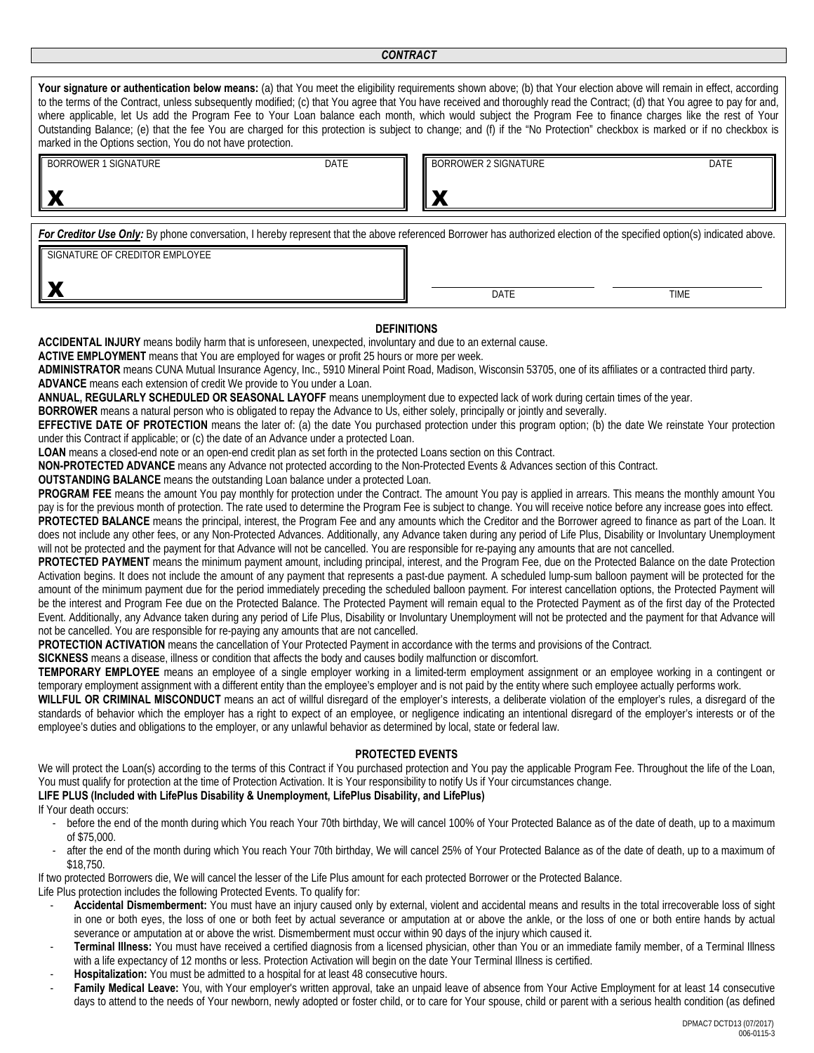| Your signature or authentication below means: (a) that You meet the eligibility requirements shown above; (b) that Your election above will remain in effect, according<br>to the terms of the Contract, unless subsequently modified; (c) that You agree that You have received and thoroughly read the Contract; (d) that You agree to pay for and,<br>where applicable, let Us add the Program Fee to Your Loan balance each month, which would subject the Program Fee to finance charges like the rest of Your<br>Outstanding Balance; (e) that the fee You are charged for this protection is subject to change; and (f) if the "No Protection" checkbox is marked or if no checkbox is<br>marked in the Options section, You do not have protection. |                      |      |  |  |  |  |  |  |  |
|-------------------------------------------------------------------------------------------------------------------------------------------------------------------------------------------------------------------------------------------------------------------------------------------------------------------------------------------------------------------------------------------------------------------------------------------------------------------------------------------------------------------------------------------------------------------------------------------------------------------------------------------------------------------------------------------------------------------------------------------------------------|----------------------|------|--|--|--|--|--|--|--|
| <b>BORROWER 1 SIGNATURE</b><br><b>DATE</b>                                                                                                                                                                                                                                                                                                                                                                                                                                                                                                                                                                                                                                                                                                                  | BORROWER 2 SIGNATURE | DATE |  |  |  |  |  |  |  |
| For Creditor Use Only: By phone conversation, I hereby represent that the above referenced Borrower has authorized election of the specified option(s) indicated above.<br>SIGNATURE OF CREDITOR EMPLOYEE                                                                                                                                                                                                                                                                                                                                                                                                                                                                                                                                                   |                      |      |  |  |  |  |  |  |  |
|                                                                                                                                                                                                                                                                                                                                                                                                                                                                                                                                                                                                                                                                                                                                                             | <b>DATE</b>          | TIME |  |  |  |  |  |  |  |

#### **DEFINITIONS**

**ACCIDENTAL INJURY** means bodily harm that is unforeseen, unexpected, involuntary and due to an external cause.

**ACTIVE EMPLOYMENT** means that You are employed for wages or profit 25 hours or more per week.

**ADMINISTRATOR** means CUNA Mutual Insurance Agency, Inc., 5910 Mineral Point Road, Madison, Wisconsin 53705, one of its affiliates or a contracted third party. **ADVANCE** means each extension of credit We provide to You under a Loan.

**ANNUAL, REGULARLY SCHEDULED OR SEASONAL LAYOFF** means unemployment due to expected lack of work during certain times of the year.

**BORROWER** means a natural person who is obligated to repay the Advance to Us, either solely, principally or jointly and severally.

**EFFECTIVE DATE OF PROTECTION** means the later of: (a) the date You purchased protection under this program option; (b) the date We reinstate Your protection under this Contract if applicable; or (c) the date of an Advance under a protected Loan.

**LOAN** means a closed-end note or an open-end credit plan as set forth in the protected Loans section on this Contract.

**NON-PROTECTED ADVANCE** means any Advance not protected according to the Non-Protected Events & Advances section of this Contract.

**OUTSTANDING BALANCE** means the outstanding Loan balance under a protected Loan.

PROGRAM FEE means the amount You pay monthly for protection under the Contract. The amount You pay is applied in arrears. This means the monthly amount You pay is for the previous month of protection. The rate used to determine the Program Fee is subject to change. You will receive notice before any increase goes into effect. **PROTECTED BALANCE** means the principal, interest, the Program Fee and any amounts which the Creditor and the Borrower agreed to finance as part of the Loan. It does not include any other fees, or any Non-Protected Advances. Additionally, any Advance taken during any period of Life Plus, Disability or Involuntary Unemployment will not be protected and the payment for that Advance will not be cancelled. You are responsible for re-paying any amounts that are not cancelled.

PROTECTED PAYMENT means the minimum payment amount, including principal, interest, and the Program Fee, due on the Protected Balance on the date Protection Activation begins. It does not include the amount of any payment that represents a past-due payment. A scheduled lump-sum balloon payment will be protected for the amount of the minimum payment due for the period immediately preceding the scheduled balloon payment. For interest cancellation options, the Protected Payment will be the interest and Program Fee due on the Protected Balance. The Protected Payment will remain equal to the Protected Payment as of the first day of the Protected Event. Additionally, any Advance taken during any period of Life Plus, Disability or Involuntary Unemployment will not be protected and the payment for that Advance will not be cancelled. You are responsible for re-paying any amounts that are not cancelled.

**PROTECTION ACTIVATION** means the cancellation of Your Protected Payment in accordance with the terms and provisions of the Contract.

**SICKNESS** means a disease, illness or condition that affects the body and causes bodily malfunction or discomfort.

**TEMPORARY EMPLOYEE** means an employee of a single employer working in a limited-term employment assignment or an employee working in a contingent or temporary employment assignment with a different entity than the employee's employer and is not paid by the entity where such employee actually performs work.

**WILLFUL OR CRIMINAL MISCONDUCT** means an act of willful disregard of the employer's interests, a deliberate violation of the employer's rules, a disregard of the standards of behavior which the employer has a right to expect of an employee, or negligence indicating an intentional disregard of the employer's interests or of the employee's duties and obligations to the employer, or any unlawful behavior as determined by local, state or federal law.

#### **PROTECTED EVENTS**

We will protect the Loan(s) according to the terms of this Contract if You purchased protection and You pay the applicable Program Fee. Throughout the life of the Loan, You must qualify for protection at the time of Protection Activation. It is Your responsibility to notify Us if Your circumstances change.

## **LIFE PLUS (Included with LifePlus Disability & Unemployment, LifePlus Disability, and LifePlus)**

- If Your death occurs:
	- before the end of the month during which You reach Your 70th birthday, We will cancel 100% of Your Protected Balance as of the date of death, up to a maximum of \$75,000.
	- after the end of the month during which You reach Your 70th birthday, We will cancel 25% of Your Protected Balance as of the date of death, up to a maximum of \$18,750.

If two protected Borrowers die, We will cancel the lesser of the Life Plus amount for each protected Borrower or the Protected Balance. Life Plus protection includes the following Protected Events. To qualify for:

- **Accidental Dismemberment:** You must have an injury caused only by external, violent and accidental means and results in the total irrecoverable loss of sight in one or both eyes, the loss of one or both feet by actual severance or amputation at or above the ankle, or the loss of one or both entire hands by actual severance or amputation at or above the wrist. Dismemberment must occur within 90 days of the injury which caused it.
- **Terminal Illness:** You must have received a certified diagnosis from a licensed physician, other than You or an immediate family member, of a Terminal Illness with a life expectancy of 12 months or less. Protection Activation will begin on the date Your Terminal Illness is certified.
- Hospitalization: You must be admitted to a hospital for at least 48 consecutive hours.
- Family Medical Leave: You, with Your employer's written approval, take an unpaid leave of absence from Your Active Employment for at least 14 consecutive days to attend to the needs of Your newborn, newly adopted or foster child, or to care for Your spouse, child or parent with a serious health condition (as defined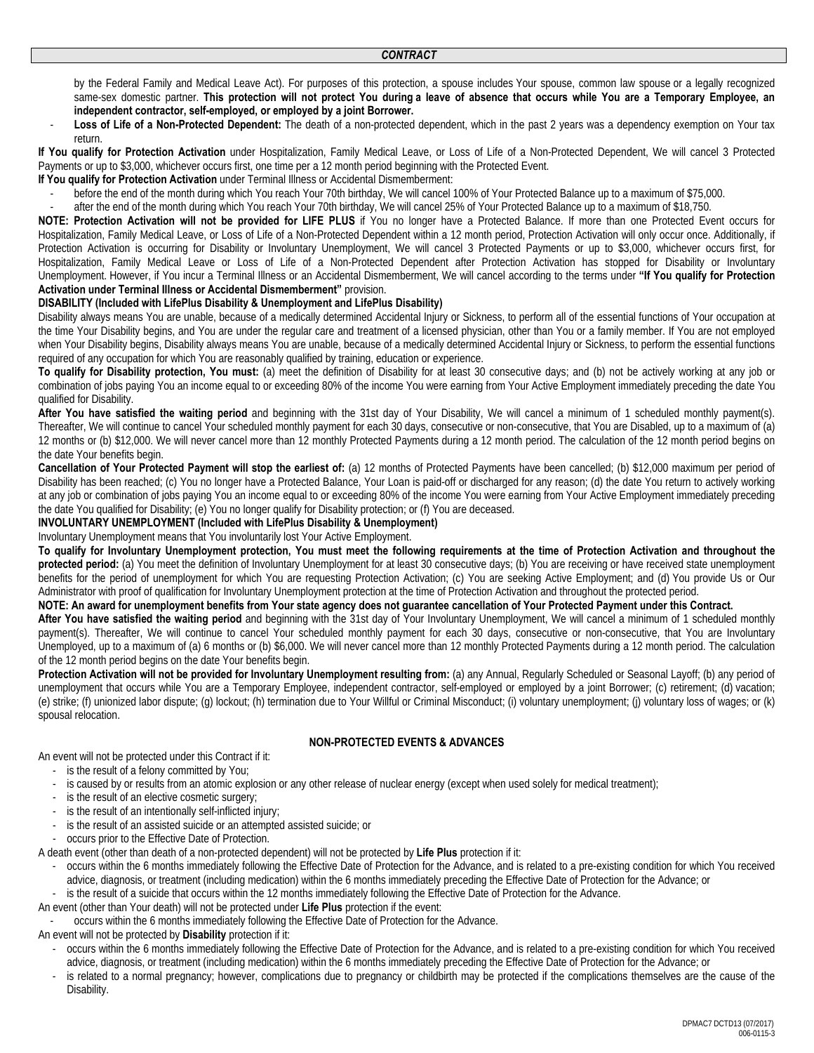by the Federal Family and Medical Leave Act). For purposes of this protection, a spouse includes Your spouse, common law spouse or a legally recognized same-sex domestic partner. **This protection will not protect You during a leave of absence that occurs while You are a Temporary Employee, an independent contractor, self-employed, or employed by a joint Borrower.**

Loss of Life of a Non-Protected Dependent: The death of a non-protected dependent, which in the past 2 years was a dependency exemption on Your tax return.

**If You qualify for Protection Activation** under Hospitalization, Family Medical Leave, or Loss of Life of a Non-Protected Dependent, We will cancel 3 Protected Payments or up to \$3,000, whichever occurs first, one time per a 12 month period beginning with the Protected Event.

**If You qualify for Protection Activation** under Terminal Illness or Accidental Dismemberment:

- before the end of the month during which You reach Your 70th birthday, We will cancel 100% of Your Protected Balance up to a maximum of \$75,000.
- after the end of the month during which You reach Your 70th birthday, We will cancel 25% of Your Protected Balance up to a maximum of \$18,750.

**NOTE: Protection Activation will not be provided for LIFE PLUS** if You no longer have a Protected Balance. If more than one Protected Event occurs for Hospitalization, Family Medical Leave, or Loss of Life of a Non-Protected Dependent within a 12 month period, Protection Activation will only occur once. Additionally, if Protection Activation is occurring for Disability or Involuntary Unemployment, We will cancel 3 Protected Payments or up to \$3,000, whichever occurs first, for Hospitalization, Family Medical Leave or Loss of Life of a Non-Protected Dependent after Protection Activation has stopped for Disability or Involuntary Unemployment. However, if You incur a Terminal Illness or an Accidental Dismemberment, We will cancel according to the terms under **"If You qualify for Protection Activation under Terminal Illness or Accidental Dismemberment"** provision.

#### **DISABILITY (Included with LifePlus Disability & Unemployment and LifePlus Disability)**

Disability always means You are unable, because of a medically determined Accidental Injury or Sickness, to perform all of the essential functions of Your occupation at the time Your Disability begins, and You are under the regular care and treatment of a licensed physician, other than You or a family member. If You are not employed when Your Disability begins, Disability always means You are unable, because of a medically determined Accidental Injury or Sickness, to perform the essential functions required of any occupation for which You are reasonably qualified by training, education or experience.

**To qualify for Disability protection, You must:** (a) meet the definition of Disability for at least 30 consecutive days; and (b) not be actively working at any job or combination of jobs paying You an income equal to or exceeding 80% of the income You were earning from Your Active Employment immediately preceding the date You qualified for Disability.

**After You have satisfied the waiting period** and beginning with the 31st day of Your Disability, We will cancel a minimum of 1 scheduled monthly payment(s). Thereafter, We will continue to cancel Your scheduled monthly payment for each 30 days, consecutive or non-consecutive, that You are Disabled, up to a maximum of (a) 12 months or (b) \$12,000. We will never cancel more than 12 monthly Protected Payments during a 12 month period. The calculation of the 12 month period begins on the date Your benefits begin.

**Cancellation of Your Protected Payment will stop the earliest of:** (a) 12 months of Protected Payments have been cancelled; (b) \$12,000 maximum per period of Disability has been reached; (c) You no longer have a Protected Balance, Your Loan is paid-off or discharged for any reason; (d) the date You return to actively working at any job or combination of jobs paying You an income equal to or exceeding 80% of the income You were earning from Your Active Employment immediately preceding the date You qualified for Disability; (e) You no longer qualify for Disability protection; or (f) You are deceased.

**INVOLUNTARY UNEMPLOYMENT (Included with LifePlus Disability & Unemployment)** 

Involuntary Unemployment means that You involuntarily lost Your Active Employment.

**To qualify for Involuntary Unemployment protection, You must meet the following requirements at the time of Protection Activation and throughout the**  protected period: (a) You meet the definition of Involuntary Unemployment for at least 30 consecutive days; (b) You are receiving or have received state unemployment benefits for the period of unemployment for which You are requesting Protection Activation; (c) You are seeking Active Employment; and (d) You provide Us or Our Administrator with proof of qualification for Involuntary Unemployment protection at the time of Protection Activation and throughout the protected period.

#### **NOTE: An award for unemployment benefits from Your state agency does not guarantee cancellation of Your Protected Payment under this Contract.**

**After You have satisfied the waiting period** and beginning with the 31st day of Your Involuntary Unemployment, We will cancel a minimum of 1 scheduled monthly payment(s). Thereafter, We will continue to cancel Your scheduled monthly payment for each 30 days, consecutive or non-consecutive, that You are Involuntary Unemployed, up to a maximum of (a) 6 months or (b) \$6,000. We will never cancel more than 12 monthly Protected Payments during a 12 month period. The calculation of the 12 month period begins on the date Your benefits begin.

**Protection Activation will not be provided for Involuntary Unemployment resulting from:** (a) any Annual, Reqularly Scheduled or Seasonal Layoff; (b) any period of unemployment that occurs while You are a Temporary Employee, independent contractor, self-employed or employed by a joint Borrower; (c) retirement; (d) vacation; (e) strike; (f) unionized labor dispute; (g) lockout; (h) termination due to Your Willful or Criminal Misconduct; (i) voluntary unemployment; (j) voluntary loss of wages; or (k) spousal relocation.

#### **NON-PROTECTED EVENTS & ADVANCES**

An event will not be protected under this Contract if it:

- is the result of a felony committed by You;
- is caused by or results from an atomic explosion or any other release of nuclear energy (except when used solely for medical treatment);
- is the result of an elective cosmetic surgery;
- is the result of an intentionally self-inflicted injury;
- is the result of an assisted suicide or an attempted assisted suicide; or
- occurs prior to the Effective Date of Protection.

A death event (other than death of a non-protected dependent) will not be protected by **Life Plus** protection if it:

- occurs within the 6 months immediately following the Effective Date of Protection for the Advance, and is related to a pre-existing condition for which You received advice, diagnosis, or treatment (including medication) within the 6 months immediately preceding the Effective Date of Protection for the Advance; or
- is the result of a suicide that occurs within the 12 months immediately following the Effective Date of Protection for the Advance.

An event (other than Your death) will not be protected under **Life Plus** protection if the event:

- occurs within the 6 months immediately following the Effective Date of Protection for the Advance.
- An event will not be protected by **Disability** protection if it:
	- occurs within the 6 months immediately following the Effective Date of Protection for the Advance, and is related to a pre-existing condition for which You received advice, diagnosis, or treatment (including medication) within the 6 months immediately preceding the Effective Date of Protection for the Advance; or
	- is related to a normal pregnancy; however, complications due to pregnancy or childbirth may be protected if the complications themselves are the cause of the Disability.